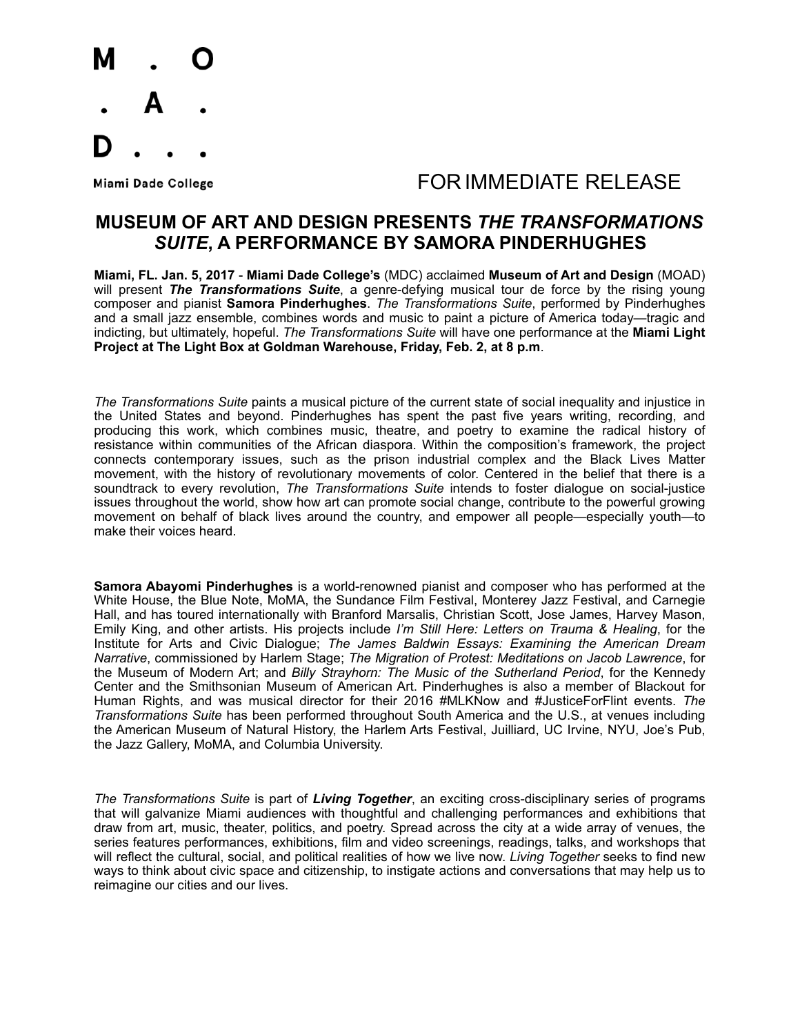

## Miami Dade College The Second Later School COR IMMEDIATE RELEASE

### **MUSEUM OF ART AND DESIGN PRESENTS** *THE TRANSFORMATIONS SUITE***, A PERFORMANCE BY SAMORA PINDERHUGHES**

**Miami, FL. Jan. 5, 2017** - **Miami Dade College's** (MDC) acclaimed **Museum of Art and Design** (MOAD) will present *The Transformations Suite*, a genre-defying musical tour de force by the rising young composer and pianist **Samora Pinderhughes**. *The Transformations Suite*, performed by Pinderhughes and a small jazz ensemble, combines words and music to paint a picture of America today—tragic and indicting, but ultimately, hopeful. *The Transformations Suite* will have one performance at the **Miami Light Project at The Light Box at Goldman Warehouse, Friday, Feb. 2, at 8 p.m**.

*The Transformations Suite* paints a musical picture of the current state of social inequality and injustice in the United States and beyond. Pinderhughes has spent the past five years writing, recording, and producing this work, which combines music, theatre, and poetry to examine the radical history of resistance within communities of the African diaspora. Within the composition's framework, the project connects contemporary issues, such as the prison industrial complex and the Black Lives Matter movement, with the history of revolutionary movements of color. Centered in the belief that there is a soundtrack to every revolution, *The Transformations Suite* intends to foster dialogue on social-justice issues throughout the world, show how art can promote social change, contribute to the powerful growing movement on behalf of black lives around the country, and empower all people—especially youth—to make their voices heard.

**Samora Abayomi Pinderhughes** is a world-renowned pianist and composer who has performed at the White House, the Blue Note, MoMA, the Sundance Film Festival, Monterey Jazz Festival, and Carnegie Hall, and has toured internationally with Branford Marsalis, Christian Scott, Jose James, Harvey Mason, Emily King, and other artists. His projects include *I'm Still Here: Letters on Trauma & Healing*, for the Institute for Arts and Civic Dialogue; *The James Baldwin Essays: Examining the American Dream Narrative*, commissioned by Harlem Stage; *The Migration of Protest: Meditations on Jacob Lawrence*, for the Museum of Modern Art; and *Billy Strayhorn: The Music of the Sutherland Period*, for the Kennedy Center and the Smithsonian Museum of American Art. Pinderhughes is also a member of Blackout for Human Rights, and was musical director for their 2016 #MLKNow and #JusticeForFlint events. *The Transformations Suite* has been performed throughout South America and the U.S., at venues including the American Museum of Natural History, the Harlem Arts Festival, Juilliard, UC Irvine, NYU, Joe's Pub, the Jazz Gallery, MoMA, and Columbia University.

*The Transformations Suite* is part of *Living Together*, an exciting cross-disciplinary series of programs that will galvanize Miami audiences with thoughtful and challenging performances and exhibitions that draw from art, music, theater, politics, and poetry. Spread across the city at a wide array of venues, the series features performances, exhibitions, film and video screenings, readings, talks, and workshops that will reflect the cultural, social, and political realities of how we live now. *Living Together* seeks to find new ways to think about civic space and citizenship, to instigate actions and conversations that may help us to reimagine our cities and our lives.